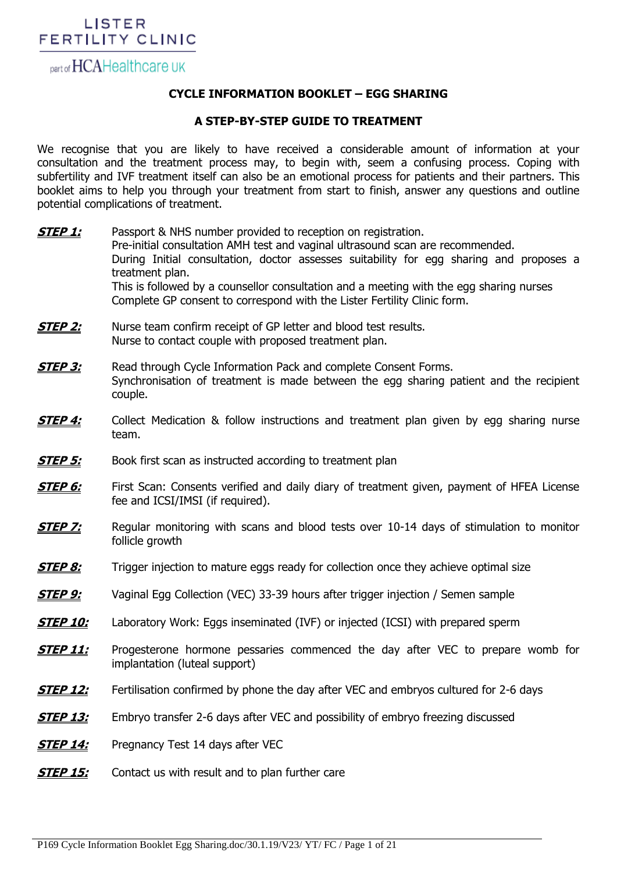part of HCAHealthcare UK

### **CYCLE INFORMATION BOOKLET – EGG SHARING**

### **A STEP-BY-STEP GUIDE TO TREATMENT**

We recognise that you are likely to have received a considerable amount of information at your consultation and the treatment process may, to begin with, seem a confusing process. Coping with subfertility and IVF treatment itself can also be an emotional process for patients and their partners. This booklet aims to help you through your treatment from start to finish, answer any questions and outline potential complications of treatment.

- **STEP 1:** Passport & NHS number provided to reception on registration. Pre-initial consultation AMH test and vaginal ultrasound scan are recommended. During Initial consultation, doctor assesses suitability for egg sharing and proposes a treatment plan. This is followed by a counsellor consultation and a meeting with the egg sharing nurses Complete GP consent to correspond with the Lister Fertility Clinic form.
- **STEP 2:** Nurse team confirm receipt of GP letter and blood test results. Nurse to contact couple with proposed treatment plan.
- **STEP 3:** Read through Cycle Information Pack and complete Consent Forms. Synchronisation of treatment is made between the egg sharing patient and the recipient couple.
- **STEP 4:** Collect Medication & follow instructions and treatment plan given by egg sharing nurse team.
- **STEP 5:** Book first scan as instructed according to treatment plan
- **STEP 6:** First Scan: Consents verified and daily diary of treatment given, payment of HFEA License fee and ICSI/IMSI (if required).
- **STEP 7:** Regular monitoring with scans and blood tests over 10-14 days of stimulation to monitor follicle growth
- **STEP 8:** Trigger injection to mature eggs ready for collection once they achieve optimal size
- **STEP 9:** Vaginal Egg Collection (VEC) 33-39 hours after trigger injection / Semen sample
- **STEP 10:** Laboratory Work: Eggs inseminated (IVF) or injected (ICSI) with prepared sperm
- **STEP 11:** Progesterone hormone pessaries commenced the day after VEC to prepare womb for implantation (luteal support)
- **STEP 12:** Fertilisation confirmed by phone the day after VEC and embryos cultured for 2-6 days
- **STEP 13:** Embryo transfer 2-6 days after VEC and possibility of embryo freezing discussed
- **STEP 14:** Pregnancy Test 14 days after VEC
- **STEP 15:** Contact us with result and to plan further care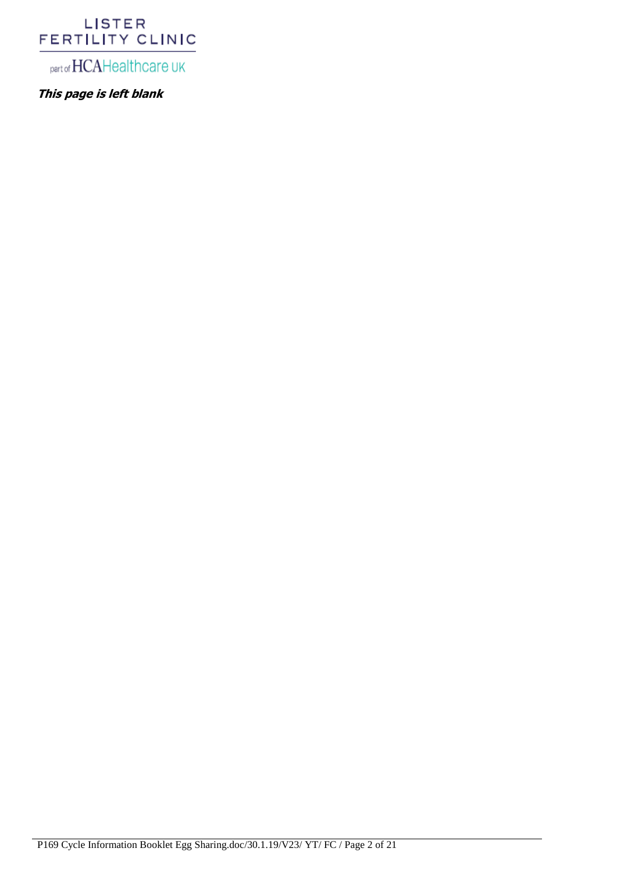

**This page is left blank**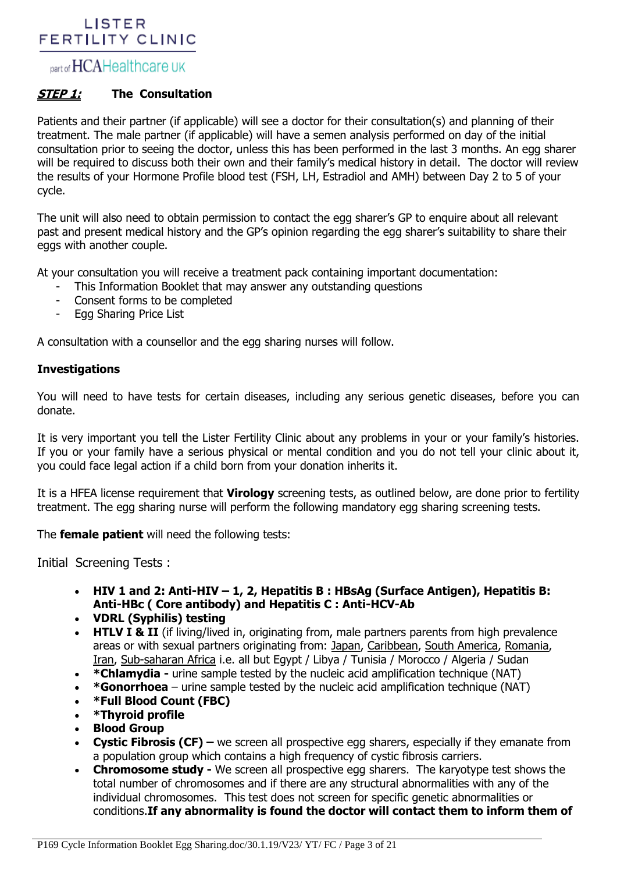# part of HCAHealthcare UK

## **STEP 1: The Consultation**

Patients and their partner (if applicable) will see a doctor for their consultation(s) and planning of their treatment. The male partner (if applicable) will have a semen analysis performed on day of the initial consultation prior to seeing the doctor, unless this has been performed in the last 3 months. An egg sharer will be required to discuss both their own and their family's medical history in detail. The doctor will review the results of your Hormone Profile blood test (FSH, LH, Estradiol and AMH) between Day 2 to 5 of your cycle.

The unit will also need to obtain permission to contact the egg sharer's GP to enquire about all relevant past and present medical history and the GP's opinion regarding the egg sharer's suitability to share their eggs with another couple.

At your consultation you will receive a treatment pack containing important documentation:

- This Information Booklet that may answer any outstanding questions
- Consent forms to be completed
- Egg Sharing Price List

A consultation with a counsellor and the egg sharing nurses will follow.

#### **Investigations**

You will need to have tests for certain diseases, including any serious genetic diseases, before you can donate.

It is very important you tell the Lister Fertility Clinic about any problems in your or your family's histories. If you or your family have a serious physical or mental condition and you do not tell your clinic about it, you could face legal action if a child born from your donation inherits it.

It is a HFEA license requirement that **Virology** screening tests, as outlined below, are done prior to fertility treatment. The egg sharing nurse will perform the following mandatory egg sharing screening tests.

The **female patient** will need the following tests:

Initial Screening Tests :

- **HIV 1 and 2: Anti-HIV – 1, 2, Hepatitis B : HBsAg (Surface Antigen), Hepatitis B: Anti-HBc ( Core antibody) and Hepatitis C : Anti-HCV-Ab**
- **VDRL (Syphilis) testing**
- **HTLV I & II** (if living/lived in, originating from, male partners parents from high prevalence areas or with sexual partners originating from: Japan, Caribbean, South America, Romania, Iran, Sub-saharan Africa i.e. all but Egypt / Libya / Tunisia / Morocco / Algeria / Sudan
- **\*Chlamydia -** urine sample tested by the nucleic acid amplification technique (NAT)
- **\*Gonorrhoea**  urine sample tested by the nucleic acid amplification technique (NAT)
- **\*Full Blood Count (FBC)**
- **\*Thyroid profile**
- **Blood Group**
- **Cystic Fibrosis (CF)** we screen all prospective egg sharers, especially if they emanate from a population group which contains a high frequency of cystic fibrosis carriers.
- **Chromosome study -** We screen all prospective egg sharers. The karyotype test shows the total number of chromosomes and if there are any structural abnormalities with any of the individual chromosomes. This test does not screen for specific genetic abnormalities or conditions.**If any abnormality is found the doctor will contact them to inform them of**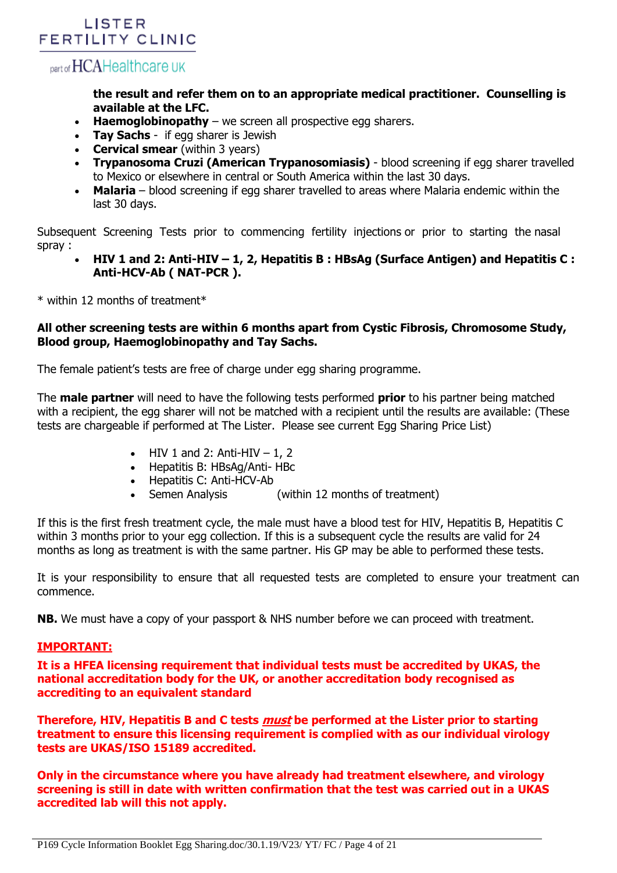# part of HCAHealthcare UK

### **the result and refer them on to an appropriate medical practitioner. Counselling is available at the LFC.**

- **Haemoglobinopathy** we screen all prospective egg sharers.
- **Tay Sachs**  if egg sharer is Jewish
- **Cervical smear** (within 3 years)
- **Trypanosoma Cruzi (American Trypanosomiasis)** blood screening if egg sharer travelled to Mexico or elsewhere in central or South America within the last 30 days.
- **Malaria**  blood screening if egg sharer travelled to areas where Malaria endemic within the last 30 days.

Subsequent Screening Tests prior to commencing fertility injections or prior to starting the nasal spray :

 **HIV 1 and 2: Anti-HIV – 1, 2, Hepatitis B : HBsAg (Surface Antigen) and Hepatitis C : Anti-HCV-Ab ( NAT-PCR ).**

\* within 12 months of treatment\*

### **All other screening tests are within 6 months apart from Cystic Fibrosis, Chromosome Study, Blood group, Haemoglobinopathy and Tay Sachs.**

The female patient's tests are free of charge under egg sharing programme.

The **male partner** will need to have the following tests performed **prior** to his partner being matched with a recipient, the egg sharer will not be matched with a recipient until the results are available: (These tests are chargeable if performed at The Lister. Please see current Egg Sharing Price List)

- $\bullet$  HIV 1 and 2: Anti-HIV  $-1$ , 2
- Hepatitis B: HBsAg/Anti- HBc
- Hepatitis C: Anti-HCV-Ab
- Semen Analysis (within 12 months of treatment)

If this is the first fresh treatment cycle, the male must have a blood test for HIV, Hepatitis B, Hepatitis C within 3 months prior to your egg collection. If this is a subsequent cycle the results are valid for 24 months as long as treatment is with the same partner. His GP may be able to performed these tests.

It is your responsibility to ensure that all requested tests are completed to ensure your treatment can commence.

**NB.** We must have a copy of your passport & NHS number before we can proceed with treatment.

#### **IMPORTANT:**

**It is a HFEA licensing requirement that individual tests must be accredited by UKAS, the national accreditation body for the UK, or another accreditation body recognised as accrediting to an equivalent standard**

**Therefore, HIV, Hepatitis B and C tests must be performed at the Lister prior to starting treatment to ensure this licensing requirement is complied with as our individual virology tests are UKAS/ISO 15189 accredited.**

**Only in the circumstance where you have already had treatment elsewhere, and virology screening is still in date with written confirmation that the test was carried out in a UKAS accredited lab will this not apply.**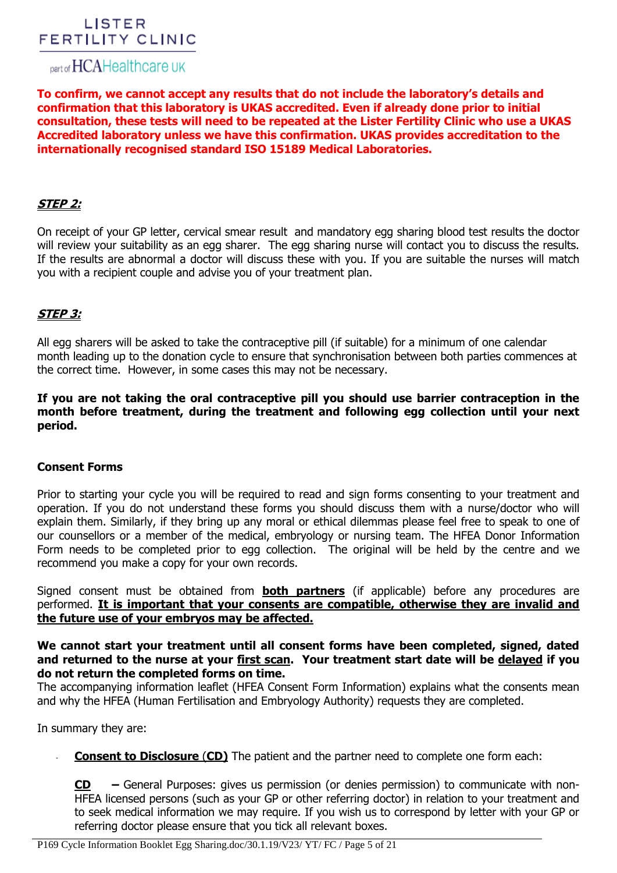# part of HCAHealthcare UK

**To confirm, we cannot accept any results that do not include the laboratory's details and confirmation that this laboratory is UKAS accredited. Even if already done prior to initial consultation, these tests will need to be repeated at the Lister Fertility Clinic who use a UKAS Accredited laboratory unless we have this confirmation. UKAS provides accreditation to the internationally recognised standard ISO 15189 Medical Laboratories.**

### **STEP 2:**

On receipt of your GP letter, cervical smear result and mandatory egg sharing blood test results the doctor will review your suitability as an egg sharer. The egg sharing nurse will contact you to discuss the results. If the results are abnormal a doctor will discuss these with you. If you are suitable the nurses will match you with a recipient couple and advise you of your treatment plan.

# **STEP 3:**

All egg sharers will be asked to take the contraceptive pill (if suitable) for a minimum of one calendar month leading up to the donation cycle to ensure that synchronisation between both parties commences at the correct time. However, in some cases this may not be necessary.

**If you are not taking the oral contraceptive pill you should use barrier contraception in the month before treatment, during the treatment and following egg collection until your next period.**

#### **Consent Forms**

Prior to starting your cycle you will be required to read and sign forms consenting to your treatment and operation. If you do not understand these forms you should discuss them with a nurse/doctor who will explain them. Similarly, if they bring up any moral or ethical dilemmas please feel free to speak to one of our counsellors or a member of the medical, embryology or nursing team. The HFEA Donor Information Form needs to be completed prior to egg collection. The original will be held by the centre and we recommend you make a copy for your own records.

Signed consent must be obtained from **both partners** (if applicable) before any procedures are performed. **It is important that your consents are compatible, otherwise they are invalid and the future use of your embryos may be affected.**

#### **We cannot start your treatment until all consent forms have been completed, signed, dated and returned to the nurse at your first scan. Your treatment start date will be delayed if you do not return the completed forms on time.**

The accompanying information leaflet (HFEA Consent Form Information) explains what the consents mean and why the HFEA (Human Fertilisation and Embryology Authority) requests they are completed.

In summary they are:

**Consent to Disclosure (CD)** The patient and the partner need to complete one form each:

**CD –** General Purposes: gives us permission (or denies permission) to communicate with non-HFEA licensed persons (such as your GP or other referring doctor) in relation to your treatment and to seek medical information we may require. If you wish us to correspond by letter with your GP or referring doctor please ensure that you tick all relevant boxes.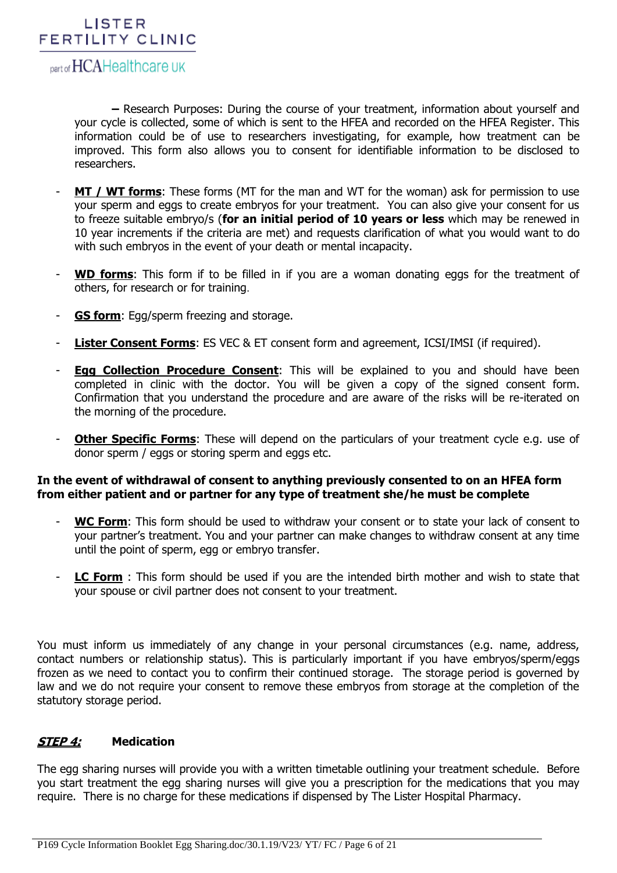**–** Research Purposes: During the course of your treatment, information about yourself and your cycle is collected, some of which is sent to the HFEA and recorded on the HFEA Register. This information could be of use to researchers investigating, for example, how treatment can be improved. This form also allows you to consent for identifiable information to be disclosed to researchers.

- **MT / WT forms**: These forms (MT for the man and WT for the woman) ask for permission to use your sperm and eggs to create embryos for your treatment. You can also give your consent for us to freeze suitable embryo/s (**for an initial period of 10 years or less** which may be renewed in 10 year increments if the criteria are met) and requests clarification of what you would want to do with such embryos in the event of your death or mental incapacity.
- **WD forms**: This form if to be filled in if you are a woman donating eggs for the treatment of others, for research or for training.
- **GS form:** Egg/sperm freezing and storage.

LISTER FERTILITY CLINIC

part of HCAHealthcare UK

- **Lister Consent Forms:** ES VEC & ET consent form and agreement, ICSI/IMSI (if required).
- **Egg Collection Procedure Consent:** This will be explained to you and should have been completed in clinic with the doctor. You will be given a copy of the signed consent form. Confirmation that you understand the procedure and are aware of the risks will be re-iterated on the morning of the procedure.
- **Other Specific Forms:** These will depend on the particulars of your treatment cycle e.g. use of donor sperm / eggs or storing sperm and eggs etc.

#### **In the event of withdrawal of consent to anything previously consented to on an HFEA form from either patient and or partner for any type of treatment she/he must be complete**

- **WC Form:** This form should be used to withdraw your consent or to state your lack of consent to your partner's treatment. You and your partner can make changes to withdraw consent at any time until the point of sperm, egg or embryo transfer.
- **LC Form** : This form should be used if you are the intended birth mother and wish to state that your spouse or civil partner does not consent to your treatment.

You must inform us immediately of any change in your personal circumstances (e.g. name, address, contact numbers or relationship status). This is particularly important if you have embryos/sperm/eggs frozen as we need to contact you to confirm their continued storage. The storage period is governed by law and we do not require your consent to remove these embryos from storage at the completion of the statutory storage period.

# **STEP 4: Medication**

The egg sharing nurses will provide you with a written timetable outlining your treatment schedule. Before you start treatment the egg sharing nurses will give you a prescription for the medications that you may require. There is no charge for these medications if dispensed by The Lister Hospital Pharmacy.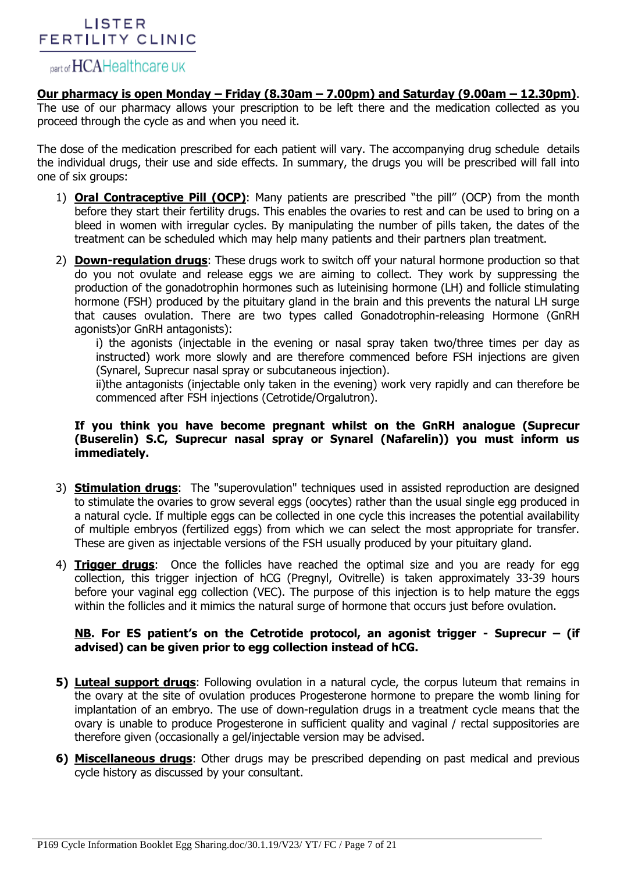# part of HCAHealthcare UK

### **Our pharmacy is open Monday – Friday (8.30am – 7.00pm) and Saturday (9.00am – 12.30pm)**.

The use of our pharmacy allows your prescription to be left there and the medication collected as you proceed through the cycle as and when you need it.

The dose of the medication prescribed for each patient will vary. The accompanying drug schedule details the individual drugs, their use and side effects. In summary, the drugs you will be prescribed will fall into one of six groups:

- 1) **Oral Contraceptive Pill (OCP)**: Many patients are prescribed "the pill" (OCP) from the month before they start their fertility drugs. This enables the ovaries to rest and can be used to bring on a bleed in women with irregular cycles. By manipulating the number of pills taken, the dates of the treatment can be scheduled which may help many patients and their partners plan treatment.
- 2) **Down-regulation drugs**: These drugs work to switch off your natural hormone production so that do you not ovulate and release eggs we are aiming to collect. They work by suppressing the production of the gonadotrophin hormones such as luteinising hormone (LH) and follicle stimulating hormone (FSH) produced by the pituitary gland in the brain and this prevents the natural LH surge that causes ovulation. There are two types called Gonadotrophin-releasing Hormone (GnRH agonists)or GnRH antagonists):

i) the agonists (injectable in the evening or nasal spray taken two/three times per day as instructed) work more slowly and are therefore commenced before FSH injections are given (Synarel, Suprecur nasal spray or subcutaneous injection).

ii)the antagonists (injectable only taken in the evening) work very rapidly and can therefore be commenced after FSH injections (Cetrotide/Orgalutron).

### **If you think you have become pregnant whilst on the GnRH analogue (Suprecur (Buserelin) S.C, Suprecur nasal spray or Synarel (Nafarelin)) you must inform us immediately.**

- 3) **Stimulation drugs**: The "superovulation" techniques used in assisted reproduction are designed to stimulate the ovaries to grow several eggs (oocytes) rather than the usual single egg produced in a natural cycle. If multiple eggs can be collected in one cycle this increases the potential availability of multiple embryos (fertilized eggs) from which we can select the most appropriate for transfer. These are given as injectable versions of the FSH usually produced by your pituitary gland.
- 4) **Trigger drugs**: Once the follicles have reached the optimal size and you are ready for egg collection, this trigger injection of hCG (Pregnyl, Ovitrelle) is taken approximately 33-39 hours before your vaginal egg collection (VEC). The purpose of this injection is to help mature the eggs within the follicles and it mimics the natural surge of hormone that occurs just before ovulation.

### **NB. For ES patient's on the Cetrotide protocol, an agonist trigger - Suprecur – (if advised) can be given prior to egg collection instead of hCG.**

- **5) Luteal support drugs**: Following ovulation in a natural cycle, the corpus luteum that remains in the ovary at the site of ovulation produces Progesterone hormone to prepare the womb lining for implantation of an embryo. The use of down-regulation drugs in a treatment cycle means that the ovary is unable to produce Progesterone in sufficient quality and vaginal / rectal suppositories are therefore given (occasionally a gel/injectable version may be advised.
- **6) Miscellaneous drugs**: Other drugs may be prescribed depending on past medical and previous cycle history as discussed by your consultant.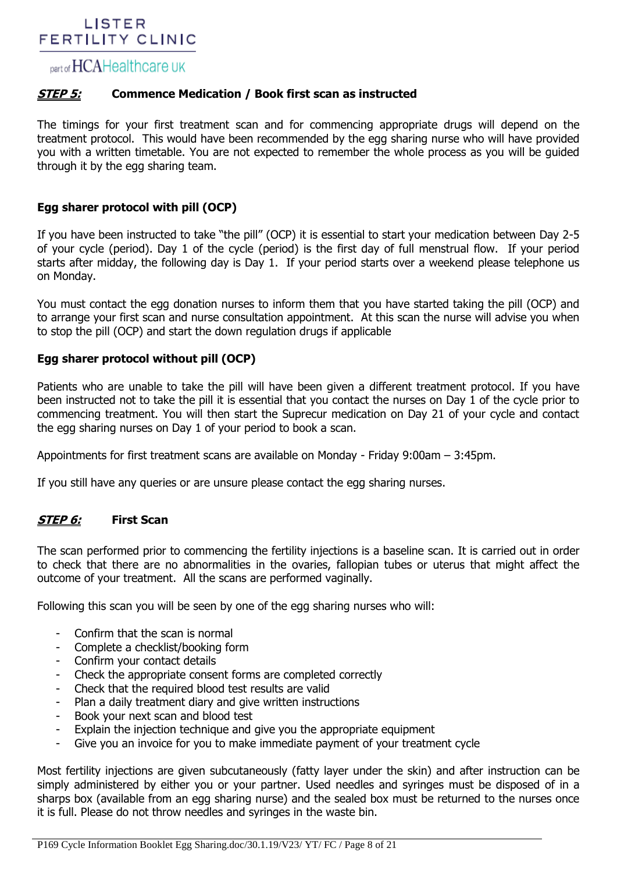# part of HCAHealthcare UK

# **STEP 5: Commence Medication / Book first scan as instructed**

The timings for your first treatment scan and for commencing appropriate drugs will depend on the treatment protocol. This would have been recommended by the egg sharing nurse who will have provided you with a written timetable. You are not expected to remember the whole process as you will be guided through it by the egg sharing team.

# **Egg sharer protocol with pill (OCP)**

If you have been instructed to take "the pill" (OCP) it is essential to start your medication between Day 2-5 of your cycle (period). Day 1 of the cycle (period) is the first day of full menstrual flow. If your period starts after midday, the following day is Day 1. If your period starts over a weekend please telephone us on Monday.

You must contact the egg donation nurses to inform them that you have started taking the pill (OCP) and to arrange your first scan and nurse consultation appointment. At this scan the nurse will advise you when to stop the pill (OCP) and start the down regulation drugs if applicable

# **Egg sharer protocol without pill (OCP)**

Patients who are unable to take the pill will have been given a different treatment protocol. If you have been instructed not to take the pill it is essential that you contact the nurses on Day 1 of the cycle prior to commencing treatment. You will then start the Suprecur medication on Day 21 of your cycle and contact the egg sharing nurses on Day 1 of your period to book a scan.

Appointments for first treatment scans are available on Monday - Friday 9:00am – 3:45pm.

If you still have any queries or are unsure please contact the egg sharing nurses.

# **STEP 6: First Scan**

The scan performed prior to commencing the fertility injections is a baseline scan. It is carried out in order to check that there are no abnormalities in the ovaries, fallopian tubes or uterus that might affect the outcome of your treatment. All the scans are performed vaginally.

Following this scan you will be seen by one of the egg sharing nurses who will:

- Confirm that the scan is normal
- Complete a checklist/booking form
- Confirm your contact details
- Check the appropriate consent forms are completed correctly
- Check that the required blood test results are valid
- Plan a daily treatment diary and give written instructions
- Book your next scan and blood test
- Explain the injection technique and give you the appropriate equipment
- Give you an invoice for you to make immediate payment of your treatment cycle

Most fertility injections are given subcutaneously (fatty layer under the skin) and after instruction can be simply administered by either you or your partner. Used needles and syringes must be disposed of in a sharps box (available from an egg sharing nurse) and the sealed box must be returned to the nurses once it is full. Please do not throw needles and syringes in the waste bin.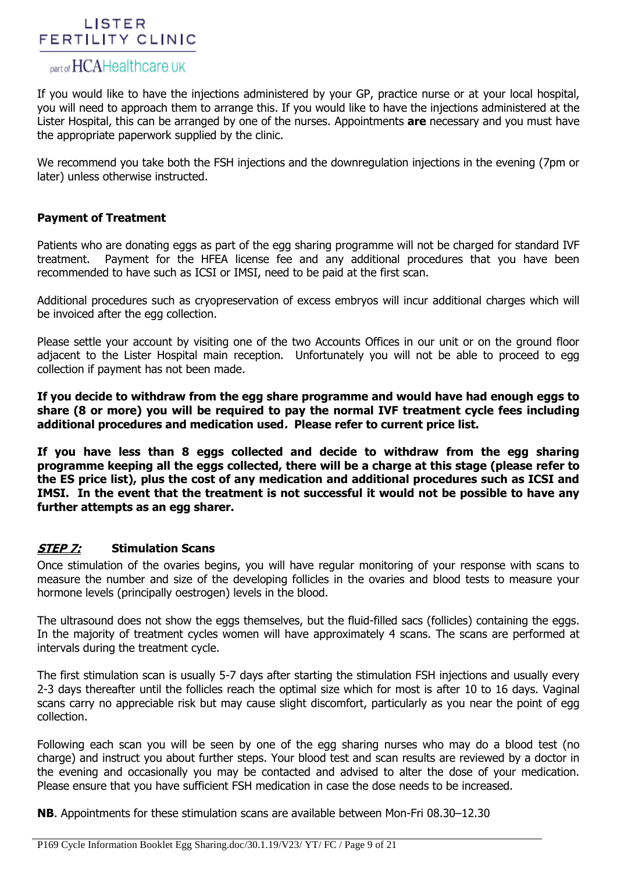# part of HCAHealthcare UK

If you would like to have the injections administered by your GP, practice nurse or at your local hospital, you will need to approach them to arrange this. If you would like to have the injections administered at the Lister Hospital, this can be arranged by one of the nurses. Appointments **are** necessary and you must have the appropriate paperwork supplied by the clinic.

We recommend you take both the FSH injections and the downregulation injections in the evening (7pm or later) unless otherwise instructed.

### **Payment of Treatment**

Patients who are donating eggs as part of the egg sharing programme will not be charged for standard IVF treatment. Payment for the HFEA license fee and any additional procedures that you have been recommended to have such as ICSI or IMSI, need to be paid at the first scan.

Additional procedures such as cryopreservation of excess embryos will incur additional charges which will be invoiced after the egg collection.

Please settle your account by visiting one of the two Accounts Offices in our unit or on the ground floor adjacent to the Lister Hospital main reception. Unfortunately you will not be able to proceed to egg collection if payment has not been made.

**If you decide to withdraw from the egg share programme and would have had enough eggs to share (8 or more) you will be required to pay the normal IVF treatment cycle fees including additional procedures and medication used. Please refer to current price list.**

**If you have less than 8 eggs collected and decide to withdraw from the egg sharing programme keeping all the eggs collected, there will be a charge at this stage (please refer to the ES price list), plus the cost of any medication and additional procedures such as ICSI and IMSI. In the event that the treatment is not successful it would not be possible to have any further attempts as an egg sharer.**

#### **STEP 7: Stimulation Scans**

Once stimulation of the ovaries begins, you will have regular monitoring of your response with scans to measure the number and size of the developing follicles in the ovaries and blood tests to measure your hormone levels (principally oestrogen) levels in the blood.

The ultrasound does not show the eggs themselves, but the fluid-filled sacs (follicles) containing the eggs. In the majority of treatment cycles women will have approximately 4 scans. The scans are performed at intervals during the treatment cycle.

The first stimulation scan is usually 5-7 days after starting the stimulation FSH injections and usually every 2-3 days thereafter until the follicles reach the optimal size which for most is after 10 to 16 days. Vaginal scans carry no appreciable risk but may cause slight discomfort, particularly as you near the point of egg collection.

Following each scan you will be seen by one of the egg sharing nurses who may do a blood test (no charge) and instruct you about further steps. Your blood test and scan results are reviewed by a doctor in the evening and occasionally you may be contacted and advised to alter the dose of your medication. Please ensure that you have sufficient FSH medication in case the dose needs to be increased.

**NB**. Appointments for these stimulation scans are available between Mon-Fri 08.30–12.30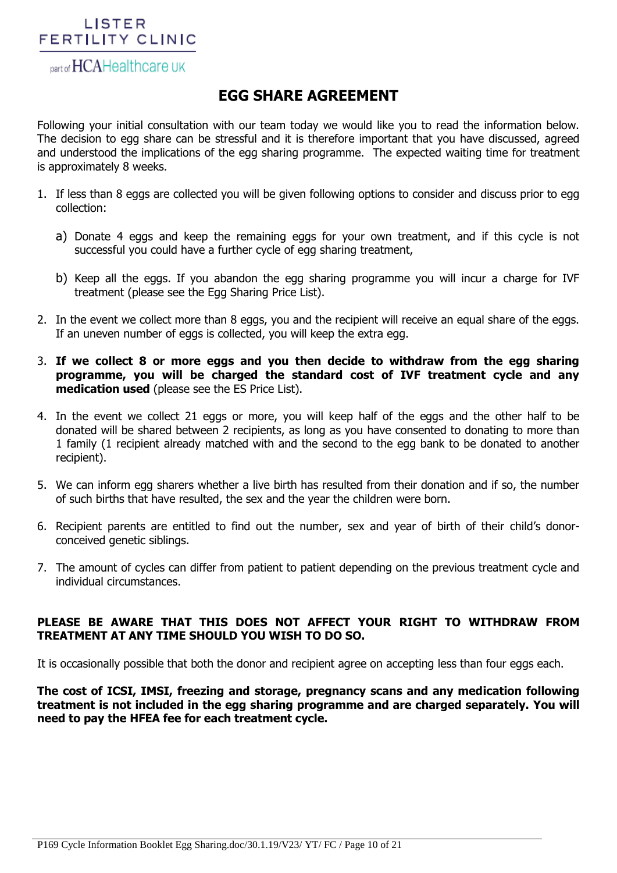LISTER FERTILITY CLINIC

# **EGG SHARE AGREEMENT**

Following your initial consultation with our team today we would like you to read the information below. The decision to egg share can be stressful and it is therefore important that you have discussed, agreed and understood the implications of the egg sharing programme. The expected waiting time for treatment is approximately 8 weeks.

- 1. If less than 8 eggs are collected you will be given following options to consider and discuss prior to egg collection:
	- a) Donate 4 eggs and keep the remaining eggs for your own treatment, and if this cycle is not successful you could have a further cycle of egg sharing treatment,
	- b) Keep all the eggs. If you abandon the egg sharing programme you will incur a charge for IVF treatment (please see the Egg Sharing Price List).
- 2. In the event we collect more than 8 eggs, you and the recipient will receive an equal share of the eggs. If an uneven number of eggs is collected, you will keep the extra egg.
- 3. **If we collect 8 or more eggs and you then decide to withdraw from the egg sharing programme, you will be charged the standard cost of IVF treatment cycle and any medication used** (please see the ES Price List).
- 4. In the event we collect 21 eggs or more, you will keep half of the eggs and the other half to be donated will be shared between 2 recipients, as long as you have consented to donating to more than 1 family (1 recipient already matched with and the second to the egg bank to be donated to another recipient).
- 5. We can inform egg sharers whether a live birth has resulted from their donation and if so, the number of such births that have resulted, the sex and the year the children were born.
- 6. Recipient parents are entitled to find out the number, sex and year of birth of their child's donorconceived genetic siblings.
- 7. The amount of cycles can differ from patient to patient depending on the previous treatment cycle and individual circumstances.

### **PLEASE BE AWARE THAT THIS DOES NOT AFFECT YOUR RIGHT TO WITHDRAW FROM TREATMENT AT ANY TIME SHOULD YOU WISH TO DO SO.**

It is occasionally possible that both the donor and recipient agree on accepting less than four eggs each.

**The cost of ICSI, IMSI, freezing and storage, pregnancy scans and any medication following treatment is not included in the egg sharing programme and are charged separately. You will need to pay the HFEA fee for each treatment cycle.**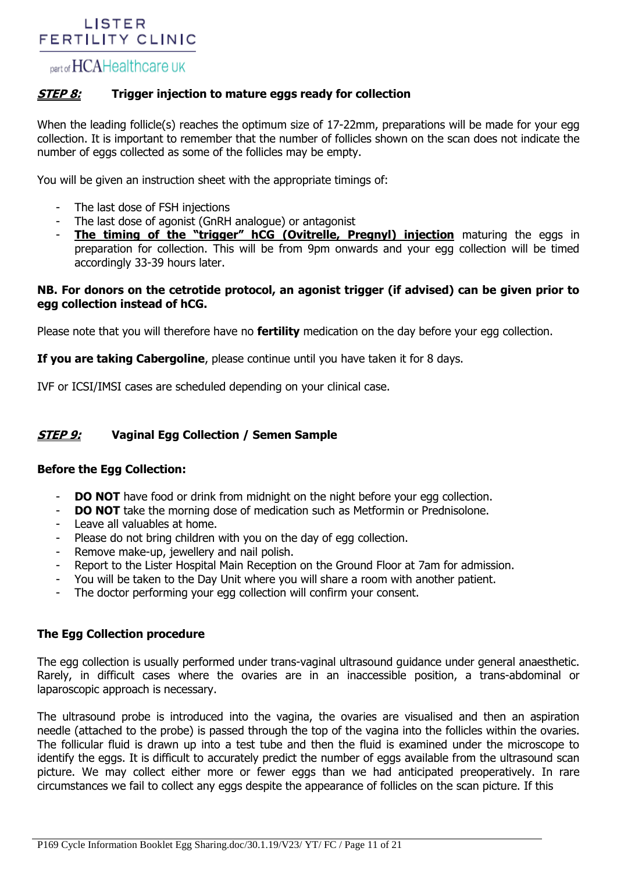# part of HCAHealthcare UK

## **STEP 8: Trigger injection to mature eggs ready for collection**

When the leading follicle(s) reaches the optimum size of 17-22mm, preparations will be made for your egg collection. It is important to remember that the number of follicles shown on the scan does not indicate the number of eggs collected as some of the follicles may be empty.

You will be given an instruction sheet with the appropriate timings of:

- The last dose of FSH injections
- The last dose of agonist (GnRH analogue) or antagonist
- **The timing of the "trigger" hCG (Ovitrelle, Pregnyl) injection** maturing the eggs in preparation for collection. This will be from 9pm onwards and your egg collection will be timed accordingly 33-39 hours later.

#### **NB. For donors on the cetrotide protocol, an agonist trigger (if advised) can be given prior to egg collection instead of hCG.**

Please note that you will therefore have no **fertility** medication on the day before your egg collection.

**If you are taking Cabergoline**, please continue until you have taken it for 8 days.

IVF or ICSI/IMSI cases are scheduled depending on your clinical case.

### **STEP 9: Vaginal Egg Collection / Semen Sample**

#### **Before the Egg Collection:**

- **DO NOT** have food or drink from midnight on the night before your egg collection.
- **DO NOT** take the morning dose of medication such as Metformin or Prednisolone.
- Leave all valuables at home.
- Please do not bring children with you on the day of egg collection.
- Remove make-up, jewellery and nail polish.
- Report to the Lister Hospital Main Reception on the Ground Floor at 7am for admission.
- You will be taken to the Day Unit where you will share a room with another patient.
- The doctor performing your egg collection will confirm your consent.

#### **The Egg Collection procedure**

The egg collection is usually performed under trans-vaginal ultrasound guidance under general anaesthetic. Rarely, in difficult cases where the ovaries are in an inaccessible position, a trans-abdominal or laparoscopic approach is necessary.

The ultrasound probe is introduced into the vagina, the ovaries are visualised and then an aspiration needle (attached to the probe) is passed through the top of the vagina into the follicles within the ovaries. The follicular fluid is drawn up into a test tube and then the fluid is examined under the microscope to identify the eggs. It is difficult to accurately predict the number of eggs available from the ultrasound scan picture. We may collect either more or fewer eggs than we had anticipated preoperatively. In rare circumstances we fail to collect any eggs despite the appearance of follicles on the scan picture. If this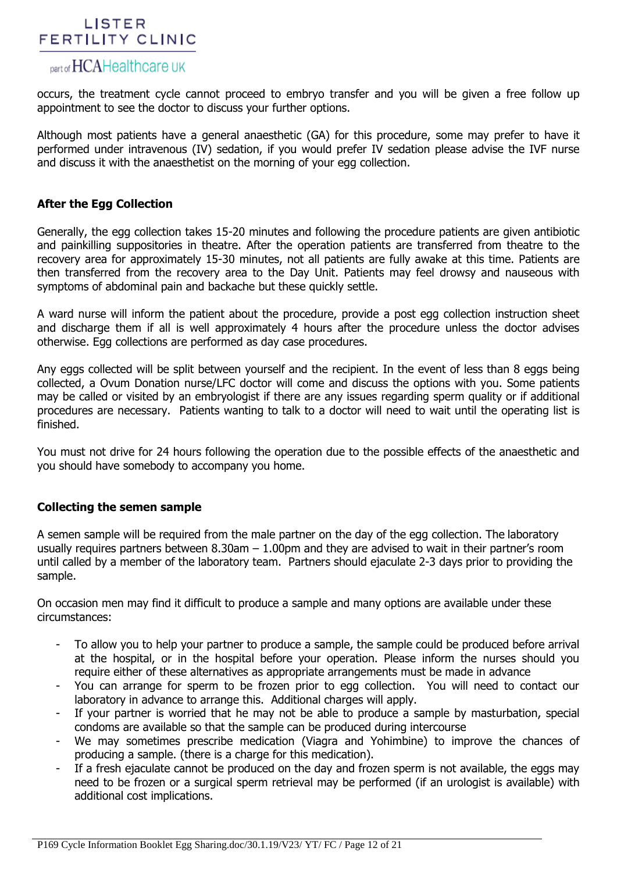# part of HCAHealthcare UK

occurs, the treatment cycle cannot proceed to embryo transfer and you will be given a free follow up appointment to see the doctor to discuss your further options.

Although most patients have a general anaesthetic (GA) for this procedure, some may prefer to have it performed under intravenous (IV) sedation, if you would prefer IV sedation please advise the IVF nurse and discuss it with the anaesthetist on the morning of your egg collection.

### **After the Egg Collection**

Generally, the egg collection takes 15-20 minutes and following the procedure patients are given antibiotic and painkilling suppositories in theatre. After the operation patients are transferred from theatre to the recovery area for approximately 15-30 minutes, not all patients are fully awake at this time. Patients are then transferred from the recovery area to the Day Unit. Patients may feel drowsy and nauseous with symptoms of abdominal pain and backache but these quickly settle.

A ward nurse will inform the patient about the procedure, provide a post egg collection instruction sheet and discharge them if all is well approximately 4 hours after the procedure unless the doctor advises otherwise. Egg collections are performed as day case procedures.

Any eggs collected will be split between yourself and the recipient. In the event of less than 8 eggs being collected, a Ovum Donation nurse/LFC doctor will come and discuss the options with you. Some patients may be called or visited by an embryologist if there are any issues regarding sperm quality or if additional procedures are necessary. Patients wanting to talk to a doctor will need to wait until the operating list is finished.

You must not drive for 24 hours following the operation due to the possible effects of the anaesthetic and you should have somebody to accompany you home.

#### **Collecting the semen sample**

A semen sample will be required from the male partner on the day of the egg collection. The laboratory usually requires partners between  $8.30$ am  $-1.00$ pm and they are advised to wait in their partner's room until called by a member of the laboratory team. Partners should ejaculate 2-3 days prior to providing the sample.

On occasion men may find it difficult to produce a sample and many options are available under these circumstances:

- To allow you to help your partner to produce a sample, the sample could be produced before arrival at the hospital, or in the hospital before your operation. Please inform the nurses should you require either of these alternatives as appropriate arrangements must be made in advance
- You can arrange for sperm to be frozen prior to egg collection. You will need to contact our laboratory in advance to arrange this. Additional charges will apply.
- If your partner is worried that he may not be able to produce a sample by masturbation, special condoms are available so that the sample can be produced during intercourse
- We may sometimes prescribe medication (Viagra and Yohimbine) to improve the chances of producing a sample. (there is a charge for this medication).
- If a fresh ejaculate cannot be produced on the day and frozen sperm is not available, the eggs may need to be frozen or a surgical sperm retrieval may be performed (if an urologist is available) with additional cost implications.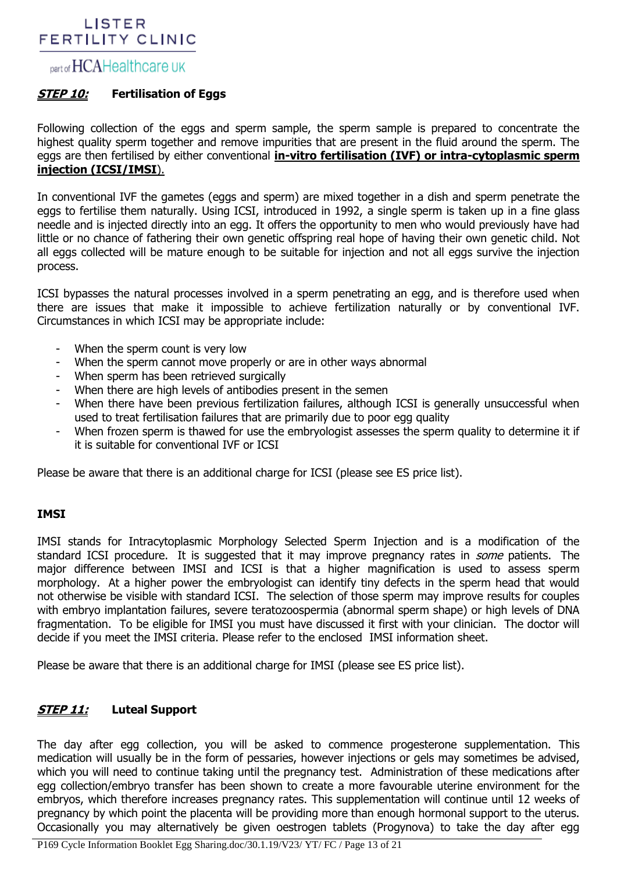part of HCAHealthcare UK

# **STEP 10: Fertilisation of Eggs**

Following collection of the eggs and sperm sample, the sperm sample is prepared to concentrate the highest quality sperm together and remove impurities that are present in the fluid around the sperm. The eggs are then fertilised by either conventional **in-vitro fertilisation (IVF) or intra-cytoplasmic sperm injection (ICSI/IMSI**).

In conventional IVF the gametes (eggs and sperm) are mixed together in a dish and sperm penetrate the eggs to fertilise them naturally. Using ICSI, introduced in 1992, a single sperm is taken up in a fine glass needle and is injected directly into an egg. It offers the opportunity to men who would previously have had little or no chance of fathering their own genetic offspring real hope of having their own genetic child. Not all eggs collected will be mature enough to be suitable for injection and not all eggs survive the injection process.

ICSI bypasses the natural processes involved in a sperm penetrating an egg, and is therefore used when there are issues that make it impossible to achieve fertilization naturally or by conventional IVF. Circumstances in which ICSI may be appropriate include:

- When the sperm count is very low
- When the sperm cannot move properly or are in other ways abnormal
- When sperm has been retrieved surgically
- When there are high levels of antibodies present in the semen
- When there have been previous fertilization failures, although ICSI is generally unsuccessful when used to treat fertilisation failures that are primarily due to poor egg quality
- When frozen sperm is thawed for use the embryologist assesses the sperm quality to determine it if it is suitable for conventional IVF or ICSI

Please be aware that there is an additional charge for ICSI (please see ES price list).

#### **IMSI**

IMSI stands for Intracytoplasmic Morphology Selected Sperm Injection and is a modification of the standard ICSI procedure. It is suggested that it may improve pregnancy rates in *some* patients. The major difference between IMSI and ICSI is that a higher magnification is used to assess sperm morphology. At a higher power the embryologist can identify tiny defects in the sperm head that would not otherwise be visible with standard ICSI. The selection of those sperm may improve results for couples with embryo implantation failures, severe teratozoospermia (abnormal sperm shape) or high levels of DNA fragmentation. To be eligible for IMSI you must have discussed it first with your clinician. The doctor will decide if you meet the IMSI criteria. Please refer to the enclosed IMSI information sheet.

Please be aware that there is an additional charge for IMSI (please see ES price list).

# **STEP 11: Luteal Support**

The day after egg collection, you will be asked to commence progesterone supplementation. This medication will usually be in the form of pessaries, however injections or gels may sometimes be advised, which you will need to continue taking until the pregnancy test. Administration of these medications after egg collection/embryo transfer has been shown to create a more favourable uterine environment for the embryos, which therefore increases pregnancy rates. This supplementation will continue until 12 weeks of pregnancy by which point the placenta will be providing more than enough hormonal support to the uterus. Occasionally you may alternatively be given oestrogen tablets (Progynova) to take the day after egg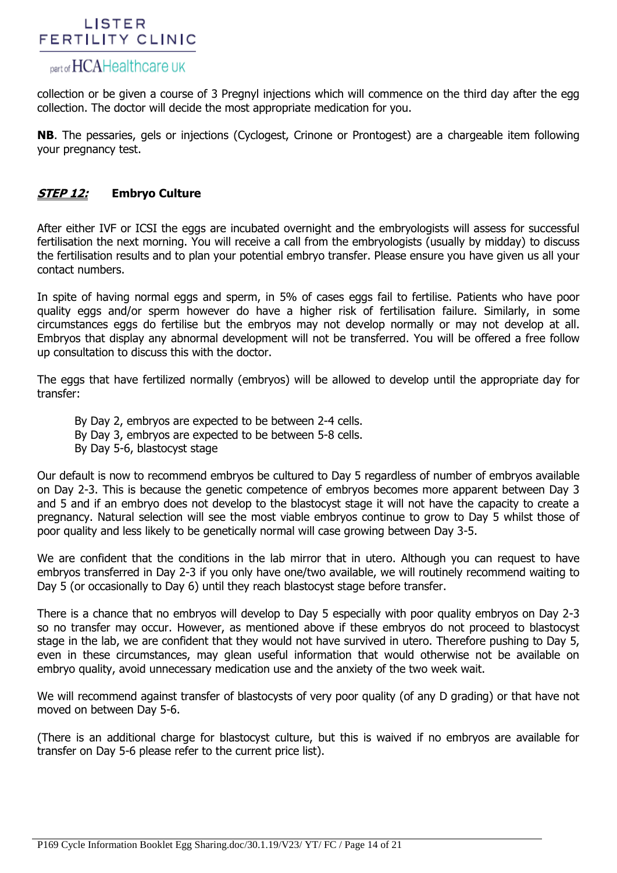

collection or be given a course of 3 Pregnyl injections which will commence on the third day after the egg collection. The doctor will decide the most appropriate medication for you.

**NB**. The pessaries, gels or injections (Cyclogest, Crinone or Prontogest) are a chargeable item following your pregnancy test.

# **STEP 12: Embryo Culture**

After either IVF or ICSI the eggs are incubated overnight and the embryologists will assess for successful fertilisation the next morning. You will receive a call from the embryologists (usually by midday) to discuss the fertilisation results and to plan your potential embryo transfer. Please ensure you have given us all your contact numbers.

In spite of having normal eggs and sperm, in 5% of cases eggs fail to fertilise. Patients who have poor quality eggs and/or sperm however do have a higher risk of fertilisation failure. Similarly, in some circumstances eggs do fertilise but the embryos may not develop normally or may not develop at all. Embryos that display any abnormal development will not be transferred. You will be offered a free follow up consultation to discuss this with the doctor.

The eggs that have fertilized normally (embryos) will be allowed to develop until the appropriate day for transfer:

By Day 2, embryos are expected to be between 2-4 cells. By Day 3, embryos are expected to be between 5-8 cells. By Day 5-6, blastocyst stage

Our default is now to recommend embryos be cultured to Day 5 regardless of number of embryos available on Day 2-3. This is because the genetic competence of embryos becomes more apparent between Day 3 and 5 and if an embryo does not develop to the blastocyst stage it will not have the capacity to create a pregnancy. Natural selection will see the most viable embryos continue to grow to Day 5 whilst those of poor quality and less likely to be genetically normal will case growing between Day 3-5.

We are confident that the conditions in the lab mirror that in utero. Although you can request to have embryos transferred in Day 2-3 if you only have one/two available, we will routinely recommend waiting to Day 5 (or occasionally to Day 6) until they reach blastocyst stage before transfer.

There is a chance that no embryos will develop to Day 5 especially with poor quality embryos on Day 2-3 so no transfer may occur. However, as mentioned above if these embryos do not proceed to blastocyst stage in the lab, we are confident that they would not have survived in utero. Therefore pushing to Day 5, even in these circumstances, may glean useful information that would otherwise not be available on embryo quality, avoid unnecessary medication use and the anxiety of the two week wait.

We will recommend against transfer of blastocysts of very poor quality (of any D grading) or that have not moved on between Day 5-6.

(There is an additional charge for blastocyst culture, but this is waived if no embryos are available for transfer on Day 5-6 please refer to the current price list).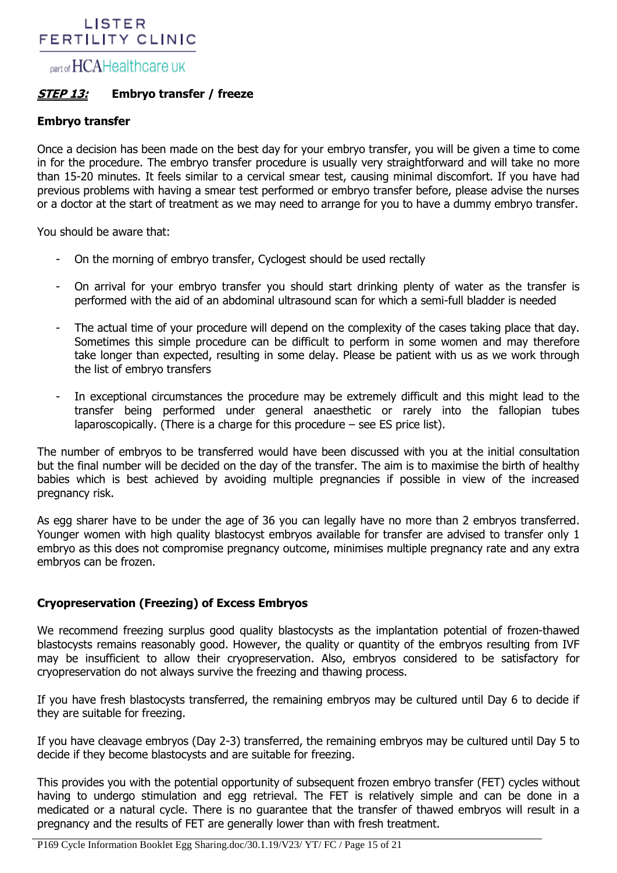part of HCAHealthcare UK

# **STEP 13: Embryo transfer / freeze**

#### **Embryo transfer**

Once a decision has been made on the best day for your embryo transfer, you will be given a time to come in for the procedure. The embryo transfer procedure is usually very straightforward and will take no more than 15-20 minutes. It feels similar to a cervical smear test, causing minimal discomfort. If you have had previous problems with having a smear test performed or embryo transfer before, please advise the nurses or a doctor at the start of treatment as we may need to arrange for you to have a dummy embryo transfer.

You should be aware that:

- On the morning of embryo transfer, Cyclogest should be used rectally
- On arrival for your embryo transfer you should start drinking plenty of water as the transfer is performed with the aid of an abdominal ultrasound scan for which a semi-full bladder is needed
- The actual time of your procedure will depend on the complexity of the cases taking place that day. Sometimes this simple procedure can be difficult to perform in some women and may therefore take longer than expected, resulting in some delay. Please be patient with us as we work through the list of embryo transfers
- In exceptional circumstances the procedure may be extremely difficult and this might lead to the transfer being performed under general anaesthetic or rarely into the fallopian tubes laparoscopically. (There is a charge for this procedure  $-$  see ES price list).

The number of embryos to be transferred would have been discussed with you at the initial consultation but the final number will be decided on the day of the transfer. The aim is to maximise the birth of healthy babies which is best achieved by avoiding multiple pregnancies if possible in view of the increased pregnancy risk.

As egg sharer have to be under the age of 36 you can legally have no more than 2 embryos transferred. Younger women with high quality blastocyst embryos available for transfer are advised to transfer only 1 embryo as this does not compromise pregnancy outcome, minimises multiple pregnancy rate and any extra embryos can be frozen.

#### **Cryopreservation (Freezing) of Excess Embryos**

We recommend freezing surplus good quality blastocysts as the implantation potential of frozen-thawed blastocysts remains reasonably good. However, the quality or quantity of the embryos resulting from IVF may be insufficient to allow their cryopreservation. Also, embryos considered to be satisfactory for cryopreservation do not always survive the freezing and thawing process.

If you have fresh blastocysts transferred, the remaining embryos may be cultured until Day 6 to decide if they are suitable for freezing.

If you have cleavage embryos (Day 2-3) transferred, the remaining embryos may be cultured until Day 5 to decide if they become blastocysts and are suitable for freezing.

This provides you with the potential opportunity of subsequent frozen embryo transfer (FET) cycles without having to undergo stimulation and egg retrieval. The FET is relatively simple and can be done in a medicated or a natural cycle. There is no guarantee that the transfer of thawed embryos will result in a pregnancy and the results of FET are generally lower than with fresh treatment.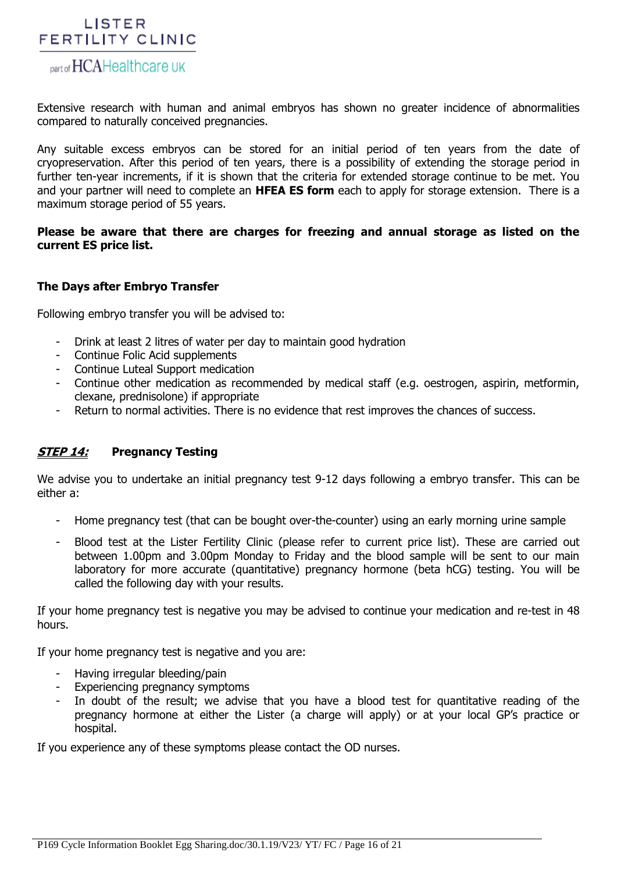

Extensive research with human and animal embryos has shown no greater incidence of abnormalities compared to naturally conceived pregnancies.

Any suitable excess embryos can be stored for an initial period of ten years from the date of cryopreservation. After this period of ten years, there is a possibility of extending the storage period in further ten-year increments, if it is shown that the criteria for extended storage continue to be met. You and your partner will need to complete an **HFEA ES form** each to apply for storage extension. There is a maximum storage period of 55 years.

### **Please be aware that there are charges for freezing and annual storage as listed on the current ES price list.**

### **The Days after Embryo Transfer**

Following embryo transfer you will be advised to:

- Drink at least 2 litres of water per day to maintain good hydration
- Continue Folic Acid supplements
- Continue Luteal Support medication
- Continue other medication as recommended by medical staff (e.g. oestrogen, aspirin, metformin, clexane, prednisolone) if appropriate
- Return to normal activities. There is no evidence that rest improves the chances of success.

# **STEP 14: Pregnancy Testing**

We advise you to undertake an initial pregnancy test 9-12 days following a embryo transfer. This can be either a:

- Home pregnancy test (that can be bought over-the-counter) using an early morning urine sample
- Blood test at the Lister Fertility Clinic (please refer to current price list). These are carried out between 1.00pm and 3.00pm Monday to Friday and the blood sample will be sent to our main laboratory for more accurate (quantitative) pregnancy hormone (beta hCG) testing. You will be called the following day with your results.

If your home pregnancy test is negative you may be advised to continue your medication and re-test in 48 hours.

If your home pregnancy test is negative and you are:

- Having irregular bleeding/pain
- Experiencing pregnancy symptoms
- In doubt of the result; we advise that you have a blood test for quantitative reading of the pregnancy hormone at either the Lister (a charge will apply) or at your local GP's practice or hospital.

If you experience any of these symptoms please contact the OD nurses.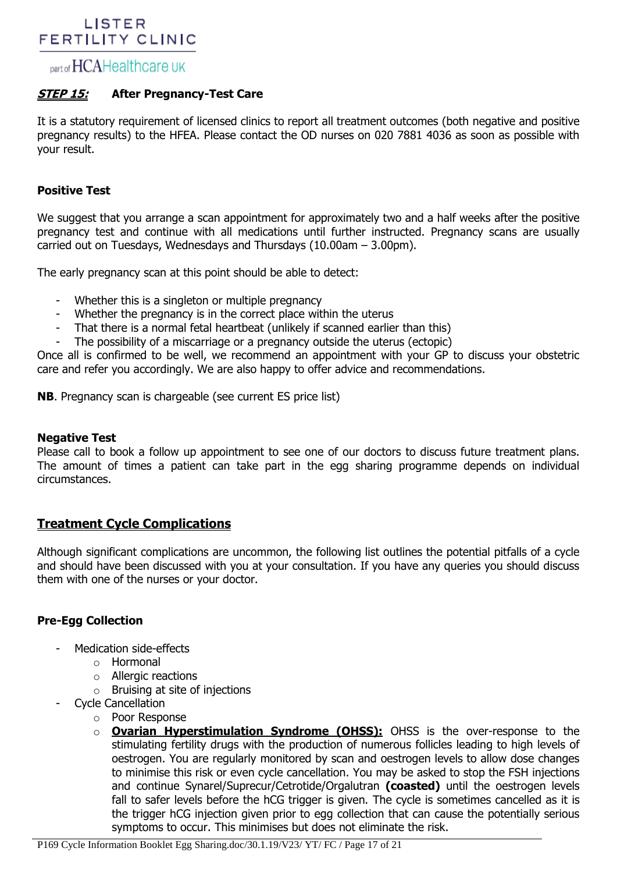# part of HCAHealthcare UK

### **STEP 15: After Pregnancy-Test Care**

It is a statutory requirement of licensed clinics to report all treatment outcomes (both negative and positive pregnancy results) to the HFEA. Please contact the OD nurses on 020 7881 4036 as soon as possible with your result.

### **Positive Test**

We suggest that you arrange a scan appointment for approximately two and a half weeks after the positive pregnancy test and continue with all medications until further instructed. Pregnancy scans are usually carried out on Tuesdays, Wednesdays and Thursdays (10.00am – 3.00pm).

The early pregnancy scan at this point should be able to detect:

- Whether this is a singleton or multiple pregnancy
- Whether the pregnancy is in the correct place within the uterus
- That there is a normal fetal heartbeat (unlikely if scanned earlier than this)
- The possibility of a miscarriage or a pregnancy outside the uterus (ectopic)

Once all is confirmed to be well, we recommend an appointment with your GP to discuss your obstetric care and refer you accordingly. We are also happy to offer advice and recommendations.

**NB**. Pregnancy scan is chargeable (see current ES price list)

#### **Negative Test**

Please call to book a follow up appointment to see one of our doctors to discuss future treatment plans. The amount of times a patient can take part in the egg sharing programme depends on individual circumstances.

# **Treatment Cycle Complications**

Although significant complications are uncommon, the following list outlines the potential pitfalls of a cycle and should have been discussed with you at your consultation. If you have any queries you should discuss them with one of the nurses or your doctor.

#### **Pre-Egg Collection**

- Medication side-effects
	- o Hormonal
	- o Allergic reactions
	- o Bruising at site of injections
- Cycle Cancellation
	- o Poor Response
	- o **Ovarian Hyperstimulation Syndrome (OHSS):** OHSS is the over-response to the stimulating fertility drugs with the production of numerous follicles leading to high levels of oestrogen. You are regularly monitored by scan and oestrogen levels to allow dose changes to minimise this risk or even cycle cancellation. You may be asked to stop the FSH injections and continue Synarel/Suprecur/Cetrotide/Orgalutran **(coasted)** until the oestrogen levels fall to safer levels before the hCG trigger is given. The cycle is sometimes cancelled as it is the trigger hCG injection given prior to egg collection that can cause the potentially serious symptoms to occur. This minimises but does not eliminate the risk.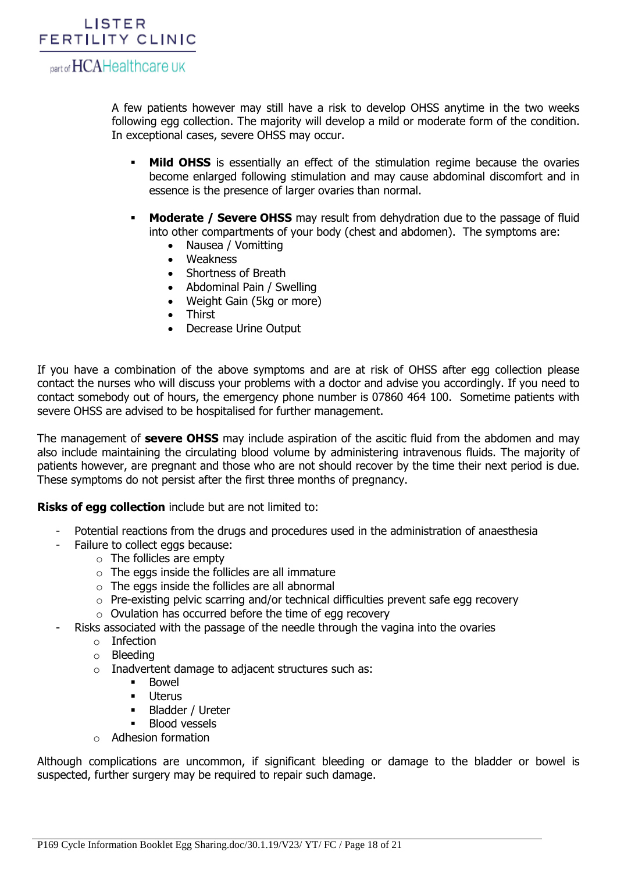

A few patients however may still have a risk to develop OHSS anytime in the two weeks following egg collection. The majority will develop a mild or moderate form of the condition. In exceptional cases, severe OHSS may occur.

- **Mild OHSS** is essentially an effect of the stimulation regime because the ovaries become enlarged following stimulation and may cause abdominal discomfort and in essence is the presence of larger ovaries than normal.
- **Moderate / Severe OHSS** may result from dehydration due to the passage of fluid into other compartments of your body (chest and abdomen). The symptoms are:
	- Nausea / Vomitting
	- Weakness
	- Shortness of Breath
	- Abdominal Pain / Swelling
	- Weight Gain (5kg or more)
	- Thirst
	- Decrease Urine Output

If you have a combination of the above symptoms and are at risk of OHSS after egg collection please contact the nurses who will discuss your problems with a doctor and advise you accordingly. If you need to contact somebody out of hours, the emergency phone number is 07860 464 100. Sometime patients with severe OHSS are advised to be hospitalised for further management.

The management of **severe OHSS** may include aspiration of the ascitic fluid from the abdomen and may also include maintaining the circulating blood volume by administering intravenous fluids. The majority of patients however, are pregnant and those who are not should recover by the time their next period is due. These symptoms do not persist after the first three months of pregnancy.

**Risks of egg collection** include but are not limited to:

- Potential reactions from the drugs and procedures used in the administration of anaesthesia
	- Failure to collect eggs because:
		- o The follicles are empty
		- $\circ$  The eggs inside the follicles are all immature
		- $\circ$  The eggs inside the follicles are all abnormal
		- $\circ$  Pre-existing pelvic scarring and/or technical difficulties prevent safe egg recovery
		- $\circ$  Ovulation has occurred before the time of egg recovery
- Risks associated with the passage of the needle through the vagina into the ovaries
	- o Infection
	- o Bleeding
	- o Inadvertent damage to adjacent structures such as:
		- **Bowel**
		- Uterus
		- **Bladder / Ureter**
		- **Blood vessels**
	- o Adhesion formation

Although complications are uncommon, if significant bleeding or damage to the bladder or bowel is suspected, further surgery may be required to repair such damage.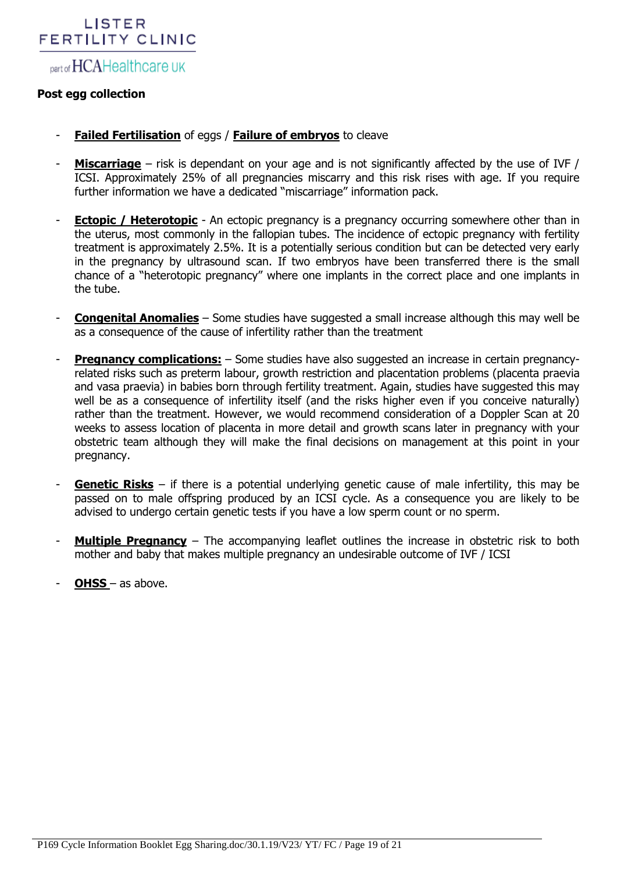part of HCAHealthcare UK

# **Post egg collection**

- **Failed Fertilisation** of eggs / Failure of embryos to cleave
- **Miscarriage** risk is dependant on your age and is not significantly affected by the use of IVF / ICSI. Approximately 25% of all pregnancies miscarry and this risk rises with age. If you require further information we have a dedicated "miscarriage" information pack.
- **Ectopic / Heterotopic** An ectopic pregnancy is a pregnancy occurring somewhere other than in the uterus, most commonly in the fallopian tubes. The incidence of ectopic pregnancy with fertility treatment is approximately 2.5%. It is a potentially serious condition but can be detected very early in the pregnancy by ultrasound scan. If two embryos have been transferred there is the small chance of a "heterotopic pregnancy" where one implants in the correct place and one implants in the tube.
- **Congenital Anomalies** Some studies have suggested a small increase although this may well be as a consequence of the cause of infertility rather than the treatment
- **Pregnancy complications:** Some studies have also suggested an increase in certain pregnancyrelated risks such as preterm labour, growth restriction and placentation problems (placenta praevia and vasa praevia) in babies born through fertility treatment. Again, studies have suggested this may well be as a consequence of infertility itself (and the risks higher even if you conceive naturally) rather than the treatment. However, we would recommend consideration of a Doppler Scan at 20 weeks to assess location of placenta in more detail and growth scans later in pregnancy with your obstetric team although they will make the final decisions on management at this point in your pregnancy.
- **Genetic Risks** if there is a potential underlying genetic cause of male infertility, this may be passed on to male offspring produced by an ICSI cycle. As a consequence you are likely to be advised to undergo certain genetic tests if you have a low sperm count or no sperm.
- **Multiple Pregnancy** The accompanying leaflet outlines the increase in obstetric risk to both mother and baby that makes multiple pregnancy an undesirable outcome of IVF / ICSI
- OHSS as above.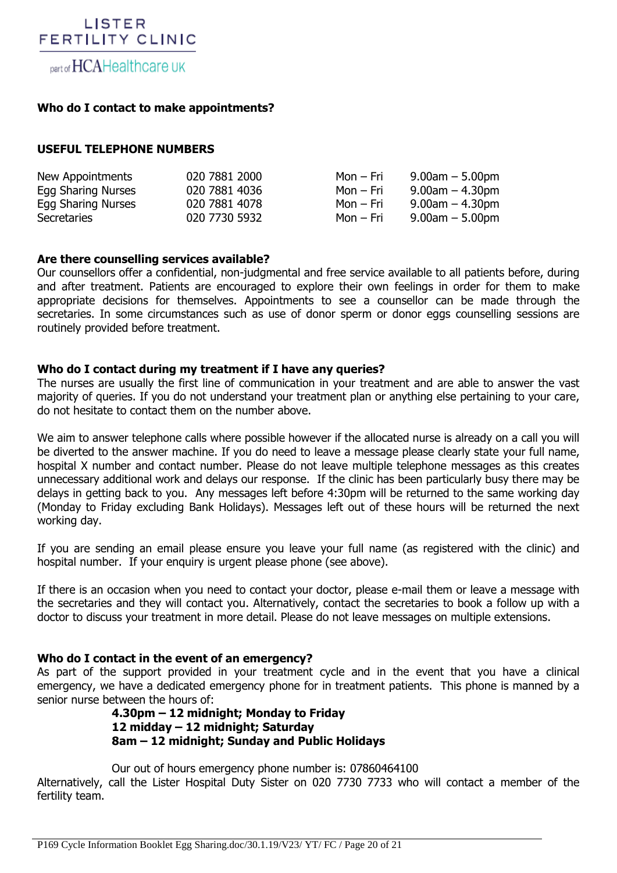

### **Who do I contact to make appointments?**

### **USEFUL TELEPHONE NUMBERS**

| New Appointments   | 020 7881 2000 | Mon – Fri | $9.00$ am $-5.00$ pm |
|--------------------|---------------|-----------|----------------------|
| Egg Sharing Nurses | 020 7881 4036 | Mon – Fri | $9.00$ am $-4.30$ pm |
| Egg Sharing Nurses | 020 7881 4078 | Mon – Fri | $9.00$ am $-4.30$ pm |
| <b>Secretaries</b> | 020 7730 5932 | Mon – Fri | $9.00$ am $-5.00$ pm |

#### **Are there counselling services available?**

Our counsellors offer a confidential, non-judgmental and free service available to all patients before, during and after treatment. Patients are encouraged to explore their own feelings in order for them to make appropriate decisions for themselves. Appointments to see a counsellor can be made through the secretaries. In some circumstances such as use of donor sperm or donor eggs counselling sessions are routinely provided before treatment.

#### **Who do I contact during my treatment if I have any queries?**

The nurses are usually the first line of communication in your treatment and are able to answer the vast majority of queries. If you do not understand your treatment plan or anything else pertaining to your care, do not hesitate to contact them on the number above.

We aim to answer telephone calls where possible however if the allocated nurse is already on a call you will be diverted to the answer machine. If you do need to leave a message please clearly state your full name, hospital X number and contact number. Please do not leave multiple telephone messages as this creates unnecessary additional work and delays our response. If the clinic has been particularly busy there may be delays in getting back to you. Any messages left before 4:30pm will be returned to the same working day (Monday to Friday excluding Bank Holidays). Messages left out of these hours will be returned the next working day.

If you are sending an email please ensure you leave your full name (as registered with the clinic) and hospital number. If your enquiry is urgent please phone (see above).

If there is an occasion when you need to contact your doctor, please e-mail them or leave a message with the secretaries and they will contact you. Alternatively, contact the secretaries to book a follow up with a doctor to discuss your treatment in more detail. Please do not leave messages on multiple extensions.

#### **Who do I contact in the event of an emergency?**

As part of the support provided in your treatment cycle and in the event that you have a clinical emergency, we have a dedicated emergency phone for in treatment patients. This phone is manned by a senior nurse between the hours of:

> **4.30pm – 12 midnight; Monday to Friday 12 midday – 12 midnight; Saturday 8am – 12 midnight; Sunday and Public Holidays**

Our out of hours emergency phone number is: 07860464100 Alternatively, call the Lister Hospital Duty Sister on 020 7730 7733 who will contact a member of the fertility team.